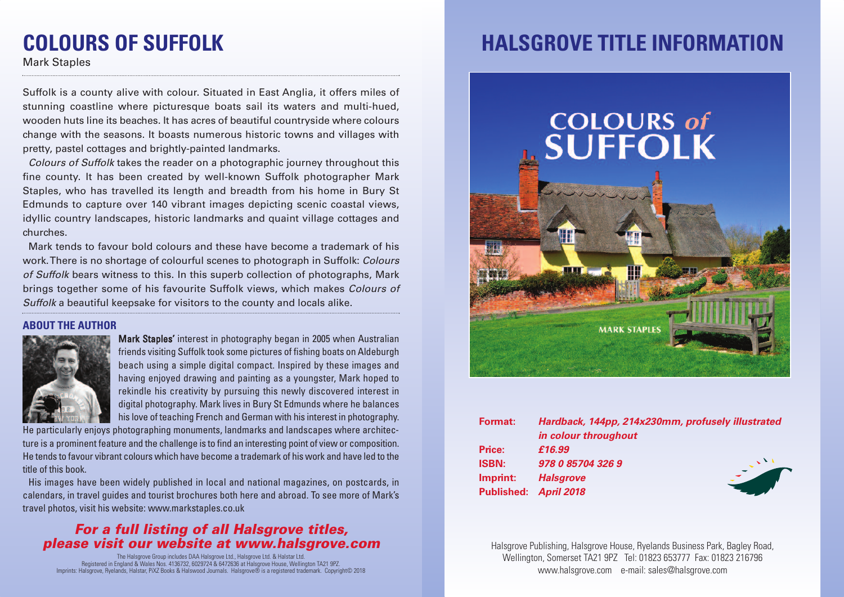# **COLOURS OF SUFFOLK**

Mark Staples

Suffolk is a county alive with colour. Situated in East Anglia, it offers miles of stunning coastline where picturesque boats sail its waters and multi-hued, wooden huts line its beaches. It has acres of beautiful countryside where colours change with the seasons. It boasts numerous historic towns and villages with pretty, pastel cottages and brightly-painted landmarks.

*Colours of Suffolk* takes the reader on a photographic journey throughout this fine county. It has been created by well-known Suffolk photographer Mark Staples, who has travelled its length and breadth from his home in Bury St Edmunds to capture over 140 vibrant images depicting scenic coastal views, idyllic country landscapes, historic landmarks and quaint village cottages and churches.

Mark tends to favour bold colours and these have become a trademark of his work.There is no shortage of colourful scenes to photograph in Suffolk: *Colours of Suffolk* bears witness to this. In this superb collection of photographs, Mark brings together some of his favourite Suffolk views, which makes *Colours of Suffolk* a beautiful keepsake for visitors to the county and locals alike.

#### **ABOUT THE AUTHOR**



Mark Staples' interest in photography began in 2005 when Australian friends visiting Suffolk took some pictures of fishing boats on Aldeburgh beach using a simple digital compact. Inspired by these images and having enjoyed drawing and painting as a youngster, Mark hoped to rekindle his creativity by pursuing this newly discovered interest in digital photography. Mark lives in Bury St Edmunds where he balances his love of teaching French and German with his interest in photography.

He particularly enjoys photographing monuments, landmarks and landscapes where architecture is a prominent feature and the challenge is to find an interesting point of view or composition. He tends to favour vibrant colours which have become a trademark of his work and have led to the title of this book.

His images have been widely published in local and national magazines, on postcards, in calendars, in travel guides and tourist brochures both here and abroad. To see more of Mark's travel photos, visit his website: www.markstaples.co.uk

### *For a full listing of all Halsgrove titles, please visit our website at www.halsgrove.com*

The Halsgrove Group includes DAA Halsgrove Ltd., Halsgrove Ltd. & Halstar Ltd. Registered in England & Wales Nos. 4136732, 6029724 & 6472636 at Halsgrove House, Wellington TA21 9PZ. Imprints: Halsgrove, Ryelands, Halstar, PiXZ Books & Halswood Journals. Halsgrove® is a registered trademark. Copyright© 2018

## **HALSGROVE TITLE INFORMATION**



| <b>Format:</b>        | Hardback, 144pp, 214x230mm, profusely illustrated |
|-----------------------|---------------------------------------------------|
|                       | in colour throughout                              |
| Price:                | £16.99                                            |
| <b>ISBN:</b>          | 978 0 85704 326 9                                 |
| Imprint:              | <b>Halsgrove</b>                                  |
| Published: April 2018 |                                                   |
|                       |                                                   |

Halsgrove Publishing, Halsgrove House, Ryelands Business Park, Bagley Road, Wellington, Somerset TA21 9PZ Tel: 01823 653777 Fax: 01823 216796 www.halsgrove.com e-mail: sales@halsgrove.com